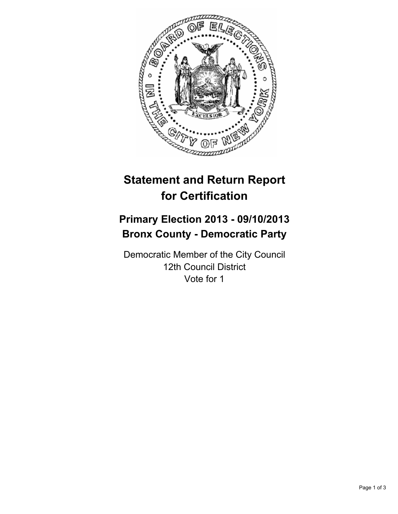

# **Statement and Return Report for Certification**

## **Primary Election 2013 - 09/10/2013 Bronx County - Democratic Party**

Democratic Member of the City Council 12th Council District Vote for 1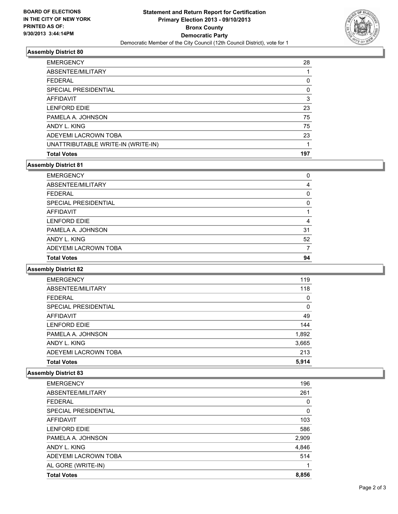

#### **Assembly District 80**

| <b>EMERGENCY</b>                   | 28  |
|------------------------------------|-----|
| ABSENTEE/MILITARY                  |     |
| <b>FEDERAL</b>                     | 0   |
| SPECIAL PRESIDENTIAL               | 0   |
| AFFIDAVIT                          | 3   |
| <b>LENFORD EDIE</b>                | 23  |
| PAMELA A. JOHNSON                  | 75  |
| ANDY L. KING                       | 75  |
| ADEYEMI LACROWN TOBA               | 23  |
| UNATTRIBUTABLE WRITE-IN (WRITE-IN) |     |
| <b>Total Votes</b>                 | 197 |

## **Assembly District 81**

| <b>EMERGENCY</b>     | 0  |
|----------------------|----|
| ABSENTEE/MILITARY    | 4  |
| <b>FEDERAL</b>       | 0  |
| SPECIAL PRESIDENTIAL | 0  |
| <b>AFFIDAVIT</b>     |    |
| <b>LENFORD EDIE</b>  | 4  |
| PAMELA A. JOHNSON    | 31 |
| ANDY L. KING         | 52 |
| ADEYEMI LACROWN TOBA |    |
| <b>Total Votes</b>   | 94 |

#### **Assembly District 82**

| <b>EMERGENCY</b>     | 119   |
|----------------------|-------|
| ABSENTEE/MILITARY    | 118   |
| <b>FEDERAL</b>       | 0     |
| SPECIAL PRESIDENTIAL | 0     |
| <b>AFFIDAVIT</b>     | 49    |
| <b>LENFORD EDIE</b>  | 144   |
| PAMELA A. JOHNSON    | 1,892 |
| ANDY L. KING         | 3,665 |
| ADEYEMI LACROWN TOBA | 213   |
| <b>Total Votes</b>   | 5,914 |

### **Assembly District 83**

| <b>EMERGENCY</b>     | 196   |
|----------------------|-------|
| ABSENTEE/MILITARY    | 261   |
| <b>FEDERAL</b>       | 0     |
| SPECIAL PRESIDENTIAL | 0     |
| AFFIDAVIT            | 103   |
| <b>LENFORD EDIE</b>  | 586   |
| PAMELA A. JOHNSON    | 2,909 |
| ANDY L. KING         | 4,846 |
| ADEYEMI LACROWN TOBA | 514   |
| AL GORE (WRITE-IN)   | 1     |
| <b>Total Votes</b>   | 8,856 |